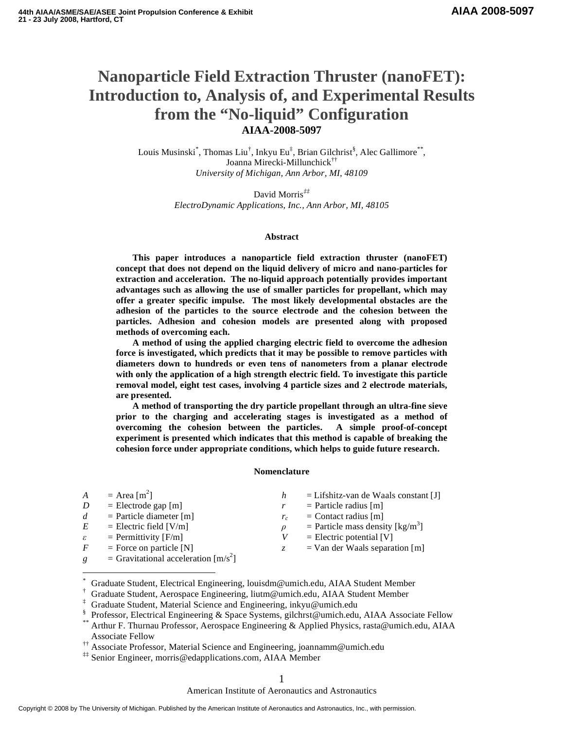# **Nanoparticle Field Extraction Thruster (nanoFET): Introduction to, Analysis of, and Experimental Results from the "No-liquid" Configuration AIAA-2008-5097**

Louis Musinski<sup>\*</sup>, Thomas Liu<sup>†</sup>, Inkyu Eu<sup>‡</sup>, Brian Gilchrist<sup>§</sup>, Alec Gallimore<sup>\*\*</sup>, Joanna Mirecki-Millunchick†† *University of Michigan, Ann Arbor, MI, 48109* 

> David Morris*‡‡ ElectroDynamic Applications, Inc., Ann Arbor, MI, 48105*

## **Abstract**

**This paper introduces a nanoparticle field extraction thruster (nanoFET) concept that does not depend on the liquid delivery of micro and nano-particles for extraction and acceleration. The no-liquid approach potentially provides important advantages such as allowing the use of smaller particles for propellant, which may offer a greater specific impulse. The most likely developmental obstacles are the adhesion of the particles to the source electrode and the cohesion between the particles. Adhesion and cohesion models are presented along with proposed methods of overcoming each.** 

**A method of using the applied charging electric field to overcome the adhesion force is investigated, which predicts that it may be possible to remove particles with diameters down to hundreds or even tens of nanometers from a planar electrode with only the application of a high strength electric field. To investigate this particle removal model, eight test cases, involving 4 particle sizes and 2 electrode materials, are presented.** 

**A method of transporting the dry particle propellant through an ultra-fine sieve prior to the charging and accelerating stages is investigated as a method of overcoming the cohesion between the particles. A simple proof-of-concept experiment is presented which indicates that this method is capable of breaking the cohesion force under appropriate conditions, which helps to guide future research.**

## **Nomenclature**

| $\overline{A}$ | $=$ Area [m <sup>2</sup> ]                           | h | $=$ Lifshitz-van de Waals constant [J]                |
|----------------|------------------------------------------------------|---|-------------------------------------------------------|
| D              | $=$ Electrode gap [m]                                |   | $=$ Particle radius [m]                               |
| d              | $=$ Particle diameter [m]                            |   | $=$ Contact radius [m]                                |
| E              | $=$ Electric field [V/m]                             |   | = Particle mass density $\lceil \text{kg/m}^3 \rceil$ |
| ε              | $=$ Permittivity [F/m]                               |   | $=$ Electric potential [V]                            |
| F              | $=$ Force on particle [N]                            |   | $=$ Van der Waals separation [m]                      |
| g              | = Gravitational acceleration $\lfloor m/s^2 \rfloor$ |   |                                                       |

<sup>\*</sup> Graduate Student, Electrical Engineering, louisdm@umich.edu, AIAA Student Member

 $\overline{a}$ 

<sup>†</sup> Graduate Student, Aerospace Engineering, liutm@umich.edu, AIAA Student Member

<sup>‡</sup> Graduate Student, Material Science and Engineering, inkyu@umich.edu

<sup>§</sup> Professor, Electrical Engineering & Space Systems, gilchrst@umich.edu, AIAA Associate Fellow

Arthur F. Thurnau Professor, Aerospace Engineering & Applied Physics, rasta@umich.edu, AIAA Associate Fellow

<sup>††</sup> Associate Professor, Material Science and Engineering, joannamm@umich.edu

<sup>‡‡</sup> Senior Engineer, morris@edapplications.com, AIAA Member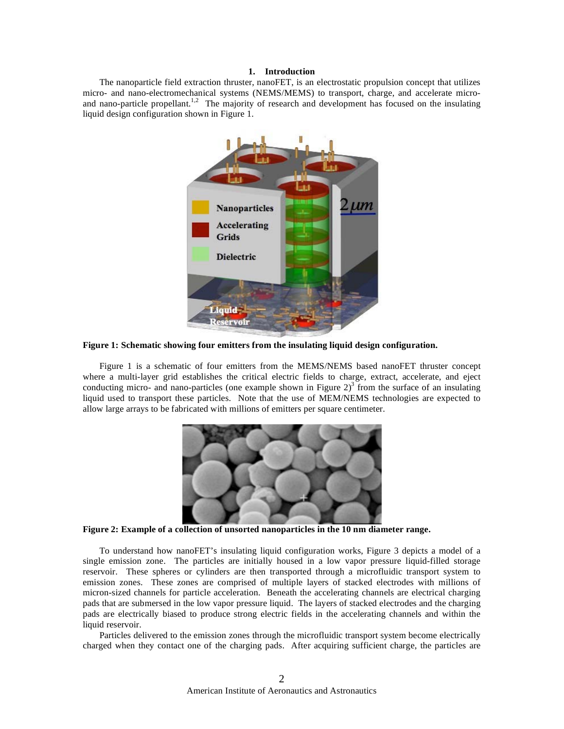## **1. Introduction**

 The nanoparticle field extraction thruster, nanoFET, is an electrostatic propulsion concept that utilizes micro- and nano-electromechanical systems (NEMS/MEMS) to transport, charge, and accelerate microand nano-particle propellant.<sup>1,2</sup> The majority of research and development has focused on the insulating liquid design configuration shown in Figure 1.



**Figure 1: Schematic showing four emitters from the insulating liquid design configuration.** 

 Figure 1 is a schematic of four emitters from the MEMS/NEMS based nanoFET thruster concept where a multi-layer grid establishes the critical electric fields to charge, extract, accelerate, and eject conducting micro- and nano-particles (one example shown in Figure  $2^3$ ) from the surface of an insulating liquid used to transport these particles. Note that the use of MEM/NEMS technologies are expected to allow large arrays to be fabricated with millions of emitters per square centimeter.



**Figure 2: Example of a collection of unsorted nanoparticles in the 10 nm diameter range.** 

 To understand how nanoFET's insulating liquid configuration works, Figure 3 depicts a model of a single emission zone. The particles are initially housed in a low vapor pressure liquid-filled storage reservoir. These spheres or cylinders are then transported through a microfluidic transport system to emission zones. These zones are comprised of multiple layers of stacked electrodes with millions of micron-sized channels for particle acceleration. Beneath the accelerating channels are electrical charging pads that are submersed in the low vapor pressure liquid. The layers of stacked electrodes and the charging pads are electrically biased to produce strong electric fields in the accelerating channels and within the liquid reservoir.

 Particles delivered to the emission zones through the microfluidic transport system become electrically charged when they contact one of the charging pads. After acquiring sufficient charge, the particles are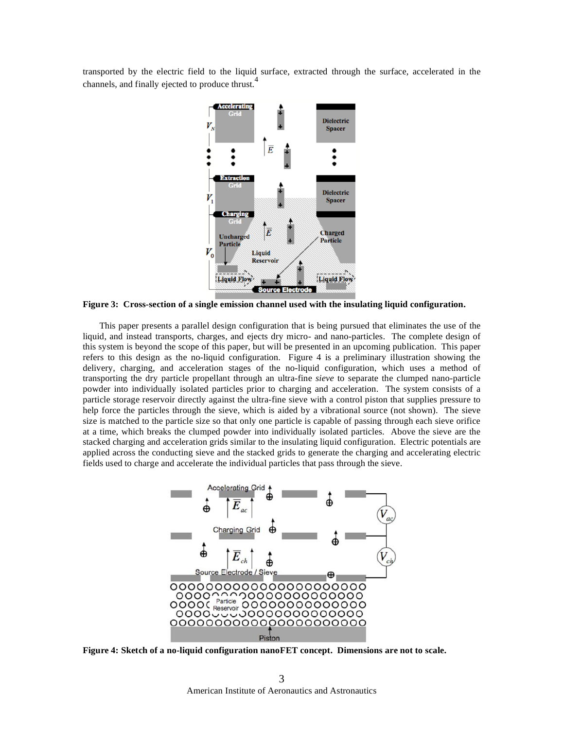transported by the electric field to the liquid surface, extracted through the surface, accelerated in the channels, and finally ejected to produce thrust.<sup>4</sup>



**Figure 3: Cross-section of a single emission channel used with the insulating liquid configuration.** 

 This paper presents a parallel design configuration that is being pursued that eliminates the use of the liquid, and instead transports, charges, and ejects dry micro- and nano-particles. The complete design of this system is beyond the scope of this paper, but will be presented in an upcoming publication. This paper refers to this design as the no-liquid configuration. Figure 4 is a preliminary illustration showing the delivery, charging, and acceleration stages of the no-liquid configuration, which uses a method of transporting the dry particle propellant through an ultra-fine *sieve* to separate the clumped nano-particle powder into individually isolated particles prior to charging and acceleration. The system consists of a particle storage reservoir directly against the ultra-fine sieve with a control piston that supplies pressure to help force the particles through the sieve, which is aided by a vibrational source (not shown). The sieve size is matched to the particle size so that only one particle is capable of passing through each sieve orifice at a time, which breaks the clumped powder into individually isolated particles. Above the sieve are the stacked charging and acceleration grids similar to the insulating liquid configuration. Electric potentials are applied across the conducting sieve and the stacked grids to generate the charging and accelerating electric fields used to charge and accelerate the individual particles that pass through the sieve.



**Figure 4: Sketch of a no-liquid configuration nanoFET concept. Dimensions are not to scale.**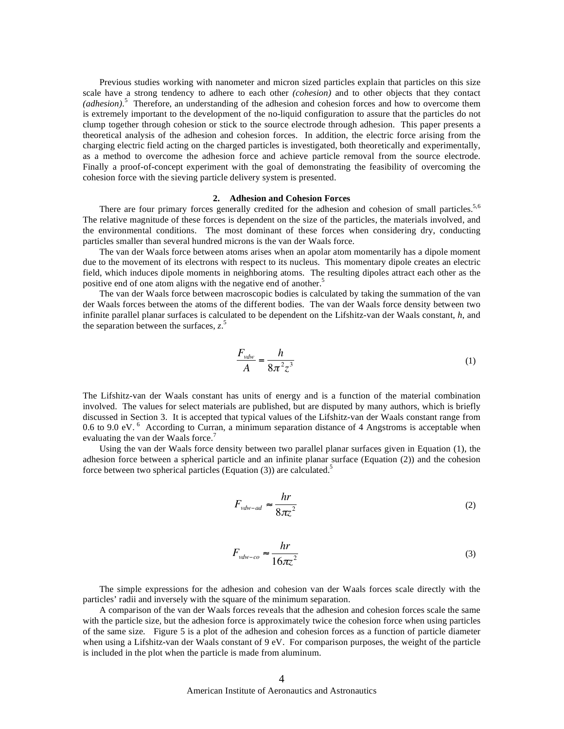Previous studies working with nanometer and micron sized particles explain that particles on this size scale have a strong tendency to adhere to each other *(cohesion)* and to other objects that they contact *(adhesion)*. 5 Therefore, an understanding of the adhesion and cohesion forces and how to overcome them is extremely important to the development of the no-liquid configuration to assure that the particles do not clump together through cohesion or stick to the source electrode through adhesion. This paper presents a theoretical analysis of the adhesion and cohesion forces. In addition, the electric force arising from the charging electric field acting on the charged particles is investigated, both theoretically and experimentally, as a method to overcome the adhesion force and achieve particle removal from the source electrode. Finally a proof-of-concept experiment with the goal of demonstrating the feasibility of overcoming the cohesion force with the sieving particle delivery system is presented.

## **2. Adhesion and Cohesion Forces**

There are four primary forces generally credited for the adhesion and cohesion of small particles.<sup>5,6</sup> The relative magnitude of these forces is dependent on the size of the particles, the materials involved, and the environmental conditions. The most dominant of these forces when considering dry, conducting particles smaller than several hundred microns is the van der Waals force.

 The van der Waals force between atoms arises when an apolar atom momentarily has a dipole moment due to the movement of its electrons with respect to its nucleus. This momentary dipole creates an electric field, which induces dipole moments in neighboring atoms. The resulting dipoles attract each other as the positive end of one atom aligns with the negative end of another.<sup>5</sup>

 The van der Waals force between macroscopic bodies is calculated by taking the summation of the van der Waals forces between the atoms of the different bodies. The van der Waals force density between two infinite parallel planar surfaces is calculated to be dependent on the Lifshitz-van der Waals constant, *h*, and the separation between the surfaces, *z*. 5

$$
\frac{F_{\nu dw}}{A} = \frac{h}{8\pi^2 z^3} \tag{1}
$$

The Lifshitz-van der Waals constant has units of energy and is a function of the material combination involved. The values for select materials are published, but are disputed by many authors, which is briefly discussed in Section 3. It is accepted that typical values of the Lifshitz-van der Waals constant range from 0.6 to 9.0 eV. <sup>6</sup> According to Curran, a minimum separation distance of 4 Angstroms is acceptable when evaluating the van der Waals force.<sup>7</sup>

 Using the van der Waals force density between two parallel planar surfaces given in Equation (1), the adhesion force between a spherical particle and an infinite planar surface (Equation (2)) and the cohesion force between two spherical particles (Equation  $(3)$ ) are calculated.<sup>5</sup>

$$
F_{vdw-ad} \approx \frac{hr}{8\pi z^2} \tag{2}
$$

$$
F_{\text{vdw-co}} \approx \frac{hr}{16\pi z^2} \tag{3}
$$

 The simple expressions for the adhesion and cohesion van der Waals forces scale directly with the particles' radii and inversely with the square of the minimum separation.

 A comparison of the van der Waals forces reveals that the adhesion and cohesion forces scale the same with the particle size, but the adhesion force is approximately twice the cohesion force when using particles of the same size. Figure 5 is a plot of the adhesion and cohesion forces as a function of particle diameter when using a Lifshitz-van der Waals constant of 9 eV. For comparison purposes, the weight of the particle is included in the plot when the particle is made from aluminum.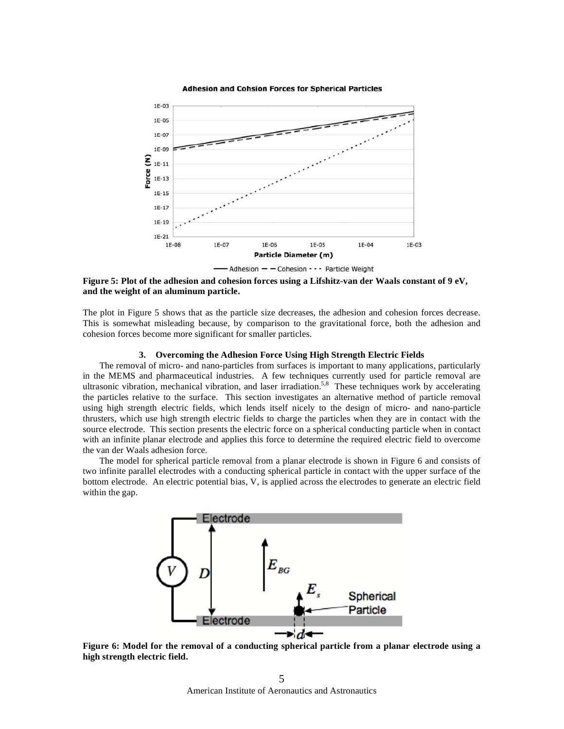

#### **Adhesion and Cohsion Forces for Spherical Particles**

**Figure 5: Plot of the adhesion and cohesion forces using a Lifshitz-van der Waals constant of 9 eV, and the weight of an aluminum particle.** 

The plot in Figure 5 shows that as the particle size decreases, the adhesion and cohesion forces decrease. This is somewhat misleading because, by comparison to the gravitational force, both the adhesion and cohesion forces become more significant for smaller particles.

## **3. Overcoming the Adhesion Force Using High Strength Electric Fields**

 The removal of micro- and nano-particles from surfaces is important to many applications, particularly in the MEMS and pharmaceutical industries. A few techniques currently used for particle removal are ultrasonic vibration, mechanical vibration, and laser irradiation.<sup>5,8</sup> These techniques work by accelerating the particles relative to the surface. This section investigates an alternative method of particle removal using high strength electric fields, which lends itself nicely to the design of micro- and nano-particle thrusters, which use high strength electric fields to charge the particles when they are in contact with the source electrode. This section presents the electric force on a spherical conducting particle when in contact with an infinite planar electrode and applies this force to determine the required electric field to overcome the van der Waals adhesion force.

 The model for spherical particle removal from a planar electrode is shown in Figure 6 and consists of two infinite parallel electrodes with a conducting spherical particle in contact with the upper surface of the bottom electrode. An electric potential bias, V, is applied across the electrodes to generate an electric field within the gap.



**Figure 6: Model for the removal of a conducting spherical particle from a planar electrode using a high strength electric field.**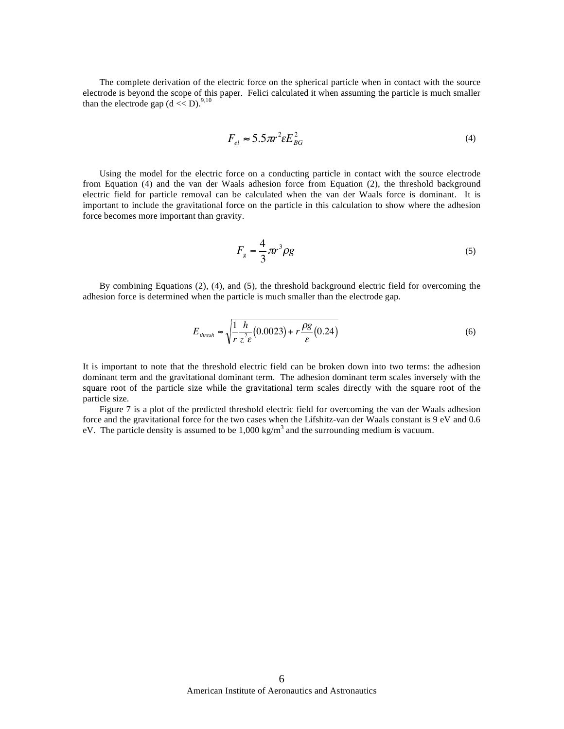The complete derivation of the electric force on the spherical particle when in contact with the source electrode is beyond the scope of this paper. Felici calculated it when assuming the particle is much smaller than the electrode gap  $(d \lt D)$ .<sup>9,10</sup>

$$
F_{el} \approx 5.5 \pi r^2 \varepsilon E_{BG}^2 \tag{4}
$$

 Using the model for the electric force on a conducting particle in contact with the source electrode from Equation (4) and the van der Waals adhesion force from Equation (2), the threshold background electric field for particle removal can be calculated when the van der Waals force is dominant. It is important to include the gravitational force on the particle in this calculation to show where the adhesion force becomes more important than gravity.

$$
F_g = \frac{4}{3}\pi r^3 \rho g \tag{5}
$$

 By combining Equations (2), (4), and (5), the threshold background electric field for overcoming the adhesion force is determined when the particle is much smaller than the electrode gap.

$$
E_{\text{thresh}} \approx \sqrt{\frac{1}{r} \frac{h}{z^2 \epsilon} (0.0023) + r \frac{\rho g}{\epsilon} (0.24)}
$$
(6)

It is important to note that the threshold electric field can be broken down into two terms: the adhesion dominant term and the gravitational dominant term. The adhesion dominant term scales inversely with the square root of the particle size while the gravitational term scales directly with the square root of the particle size.

 Figure 7 is a plot of the predicted threshold electric field for overcoming the van der Waals adhesion force and the gravitational force for the two cases when the Lifshitz-van der Waals constant is 9 eV and 0.6 eV. The particle density is assumed to be  $1,000 \text{ kg/m}^3$  and the surrounding medium is vacuum.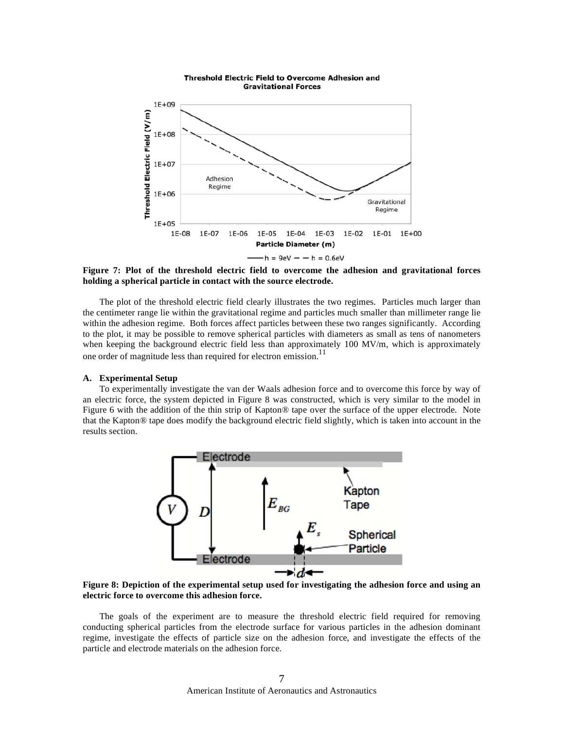

**Figure 7: Plot of the threshold electric field to overcome the adhesion and gravitational forces holding a spherical particle in contact with the source electrode.**

 The plot of the threshold electric field clearly illustrates the two regimes. Particles much larger than the centimeter range lie within the gravitational regime and particles much smaller than millimeter range lie within the adhesion regime. Both forces affect particles between these two ranges significantly. According to the plot, it may be possible to remove spherical particles with diameters as small as tens of nanometers when keeping the background electric field less than approximately 100 MV/m, which is approximately one order of magnitude less than required for electron emission.<sup>11</sup>

## **A. Experimental Setup**

 To experimentally investigate the van der Waals adhesion force and to overcome this force by way of an electric force, the system depicted in Figure 8 was constructed, which is very similar to the model in Figure 6 with the addition of the thin strip of Kapton® tape over the surface of the upper electrode. Note that the Kapton® tape does modify the background electric field slightly, which is taken into account in the results section.



**Figure 8: Depiction of the experimental setup used for investigating the adhesion force and using an electric force to overcome this adhesion force.**

 The goals of the experiment are to measure the threshold electric field required for removing conducting spherical particles from the electrode surface for various particles in the adhesion dominant regime, investigate the effects of particle size on the adhesion force, and investigate the effects of the particle and electrode materials on the adhesion force.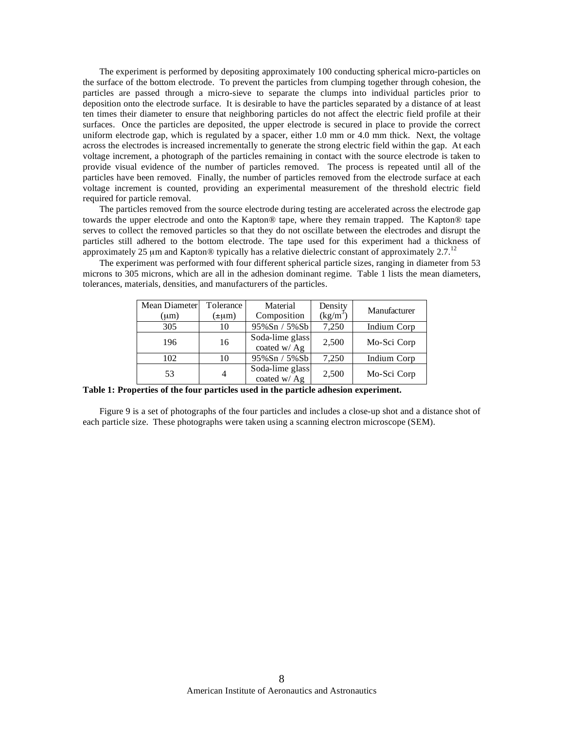The experiment is performed by depositing approximately 100 conducting spherical micro-particles on the surface of the bottom electrode. To prevent the particles from clumping together through cohesion, the particles are passed through a micro-sieve to separate the clumps into individual particles prior to deposition onto the electrode surface. It is desirable to have the particles separated by a distance of at least ten times their diameter to ensure that neighboring particles do not affect the electric field profile at their surfaces. Once the particles are deposited, the upper electrode is secured in place to provide the correct uniform electrode gap, which is regulated by a spacer, either 1.0 mm or 4.0 mm thick. Next, the voltage across the electrodes is increased incrementally to generate the strong electric field within the gap. At each voltage increment, a photograph of the particles remaining in contact with the source electrode is taken to provide visual evidence of the number of particles removed. The process is repeated until all of the particles have been removed. Finally, the number of particles removed from the electrode surface at each voltage increment is counted, providing an experimental measurement of the threshold electric field required for particle removal.

 The particles removed from the source electrode during testing are accelerated across the electrode gap towards the upper electrode and onto the Kapton® tape, where they remain trapped. The Kapton® tape serves to collect the removed particles so that they do not oscillate between the electrodes and disrupt the particles still adhered to the bottom electrode. The tape used for this experiment had a thickness of approximately 25  $\mu$ m and Kapton® typically has a relative dielectric constant of approximately 2.7.<sup>12</sup>

 The experiment was performed with four different spherical particle sizes, ranging in diameter from 53 microns to 305 microns, which are all in the adhesion dominant regime. Table 1 lists the mean diameters, tolerances, materials, densities, and manufacturers of the particles.

| Mean Diameter<br>$(\mu m)$ | Tolerance<br>$(\pm \mu m)$ | Material<br>Composition         | Density<br>$(kg/m^3)$ | Manufacturer |
|----------------------------|----------------------------|---------------------------------|-----------------------|--------------|
| 305                        | 10                         | $95\%$ Sn / 5%Sb                | 7,250                 | Indium Corp  |
| 196                        | 16                         | Soda-lime glass<br>coated w/ Ag | 2,500                 | Mo-Sci Corp  |
| 102                        | 10                         | $95\%$ Sn / 5%Sb                | 7,250                 | Indium Corp  |
| 53                         | 4                          | Soda-lime glass<br>coated w/ Ag | 2,500                 | Mo-Sci Corp  |

**Table 1: Properties of the four particles used in the particle adhesion experiment.** 

 Figure 9 is a set of photographs of the four particles and includes a close-up shot and a distance shot of each particle size. These photographs were taken using a scanning electron microscope (SEM).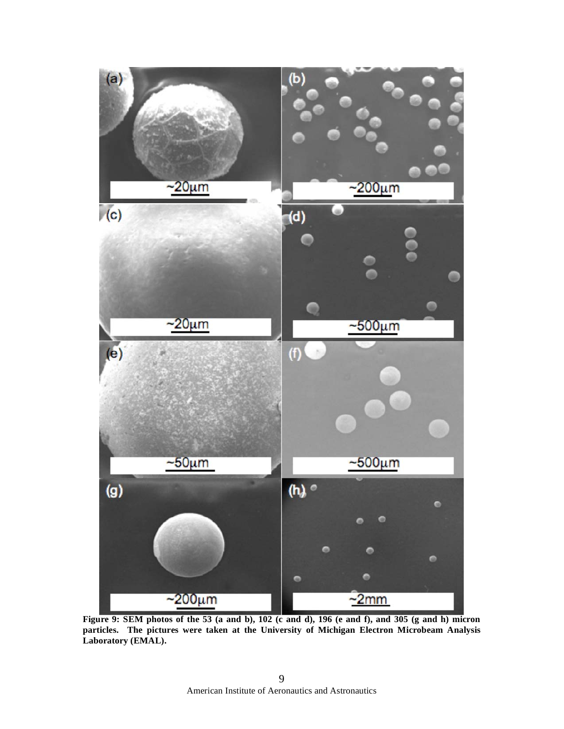

**Figure 9: SEM photos of the 53 (a and b), 102 (c and d), 196 (e and f), and 305 (g and h) micron particles. The pictures were taken at the University of Michigan Electron Microbeam Analysis Laboratory (EMAL).**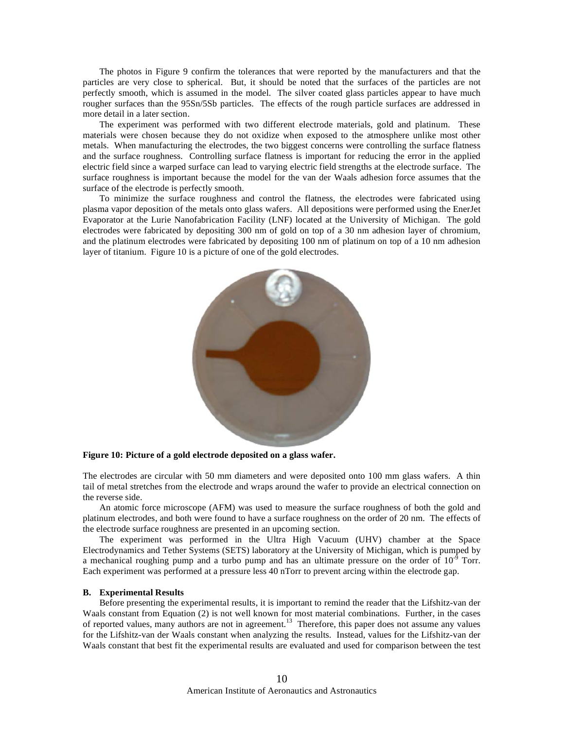The photos in Figure 9 confirm the tolerances that were reported by the manufacturers and that the particles are very close to spherical. But, it should be noted that the surfaces of the particles are not perfectly smooth, which is assumed in the model. The silver coated glass particles appear to have much rougher surfaces than the 95Sn/5Sb particles. The effects of the rough particle surfaces are addressed in more detail in a later section.

 The experiment was performed with two different electrode materials, gold and platinum. These materials were chosen because they do not oxidize when exposed to the atmosphere unlike most other metals. When manufacturing the electrodes, the two biggest concerns were controlling the surface flatness and the surface roughness. Controlling surface flatness is important for reducing the error in the applied electric field since a warped surface can lead to varying electric field strengths at the electrode surface. The surface roughness is important because the model for the van der Waals adhesion force assumes that the surface of the electrode is perfectly smooth.

 To minimize the surface roughness and control the flatness, the electrodes were fabricated using plasma vapor deposition of the metals onto glass wafers. All depositions were performed using the EnerJet Evaporator at the Lurie Nanofabrication Facility (LNF) located at the University of Michigan. The gold electrodes were fabricated by depositing 300 nm of gold on top of a 30 nm adhesion layer of chromium, and the platinum electrodes were fabricated by depositing 100 nm of platinum on top of a 10 nm adhesion layer of titanium. Figure 10 is a picture of one of the gold electrodes.



# **Figure 10: Picture of a gold electrode deposited on a glass wafer.**

The electrodes are circular with 50 mm diameters and were deposited onto 100 mm glass wafers. A thin tail of metal stretches from the electrode and wraps around the wafer to provide an electrical connection on the reverse side.

 An atomic force microscope (AFM) was used to measure the surface roughness of both the gold and platinum electrodes, and both were found to have a surface roughness on the order of 20 nm. The effects of the electrode surface roughness are presented in an upcoming section.

 The experiment was performed in the Ultra High Vacuum (UHV) chamber at the Space Electrodynamics and Tether Systems (SETS) laboratory at the University of Michigan, which is pumped by a mechanical roughing pump and a turbo pump and has an ultimate pressure on the order of  $10^{-9}$  Torr. Each experiment was performed at a pressure less 40 nTorr to prevent arcing within the electrode gap.

#### **B. Experimental Results**

Before presenting the experimental results, it is important to remind the reader that the Lifshitz-van der Waals constant from Equation (2) is not well known for most material combinations. Further, in the cases of reported values, many authors are not in agreement.<sup>13</sup> Therefore, this paper does not assume any values for the Lifshitz-van der Waals constant when analyzing the results. Instead, values for the Lifshitz-van der Waals constant that best fit the experimental results are evaluated and used for comparison between the test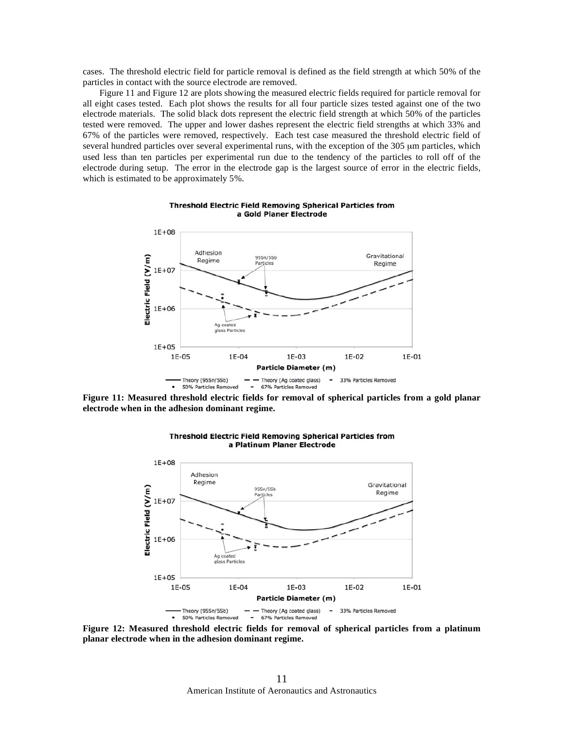cases. The threshold electric field for particle removal is defined as the field strength at which 50% of the particles in contact with the source electrode are removed.

 Figure 11 and Figure 12 are plots showing the measured electric fields required for particle removal for all eight cases tested. Each plot shows the results for all four particle sizes tested against one of the two electrode materials. The solid black dots represent the electric field strength at which 50% of the particles tested were removed. The upper and lower dashes represent the electric field strengths at which 33% and 67% of the particles were removed, respectively. Each test case measured the threshold electric field of several hundred particles over several experimental runs, with the exception of the 305 μm particles, which used less than ten particles per experimental run due to the tendency of the particles to roll off of the electrode during setup. The error in the electrode gap is the largest source of error in the electric fields, which is estimated to be approximately 5%.



**Threshold Electric Field Removing Spherical Particles from** a Gold Planer Electrode

**Figure 11: Measured threshold electric fields for removal of spherical particles from a gold planar electrode when in the adhesion dominant regime.**



**Threshold Electric Field Removing Spherical Particles from** a Platinum Planer Electrode

**Figure 12: Measured threshold electric fields for removal of spherical particles from a platinum planar electrode when in the adhesion dominant regime.**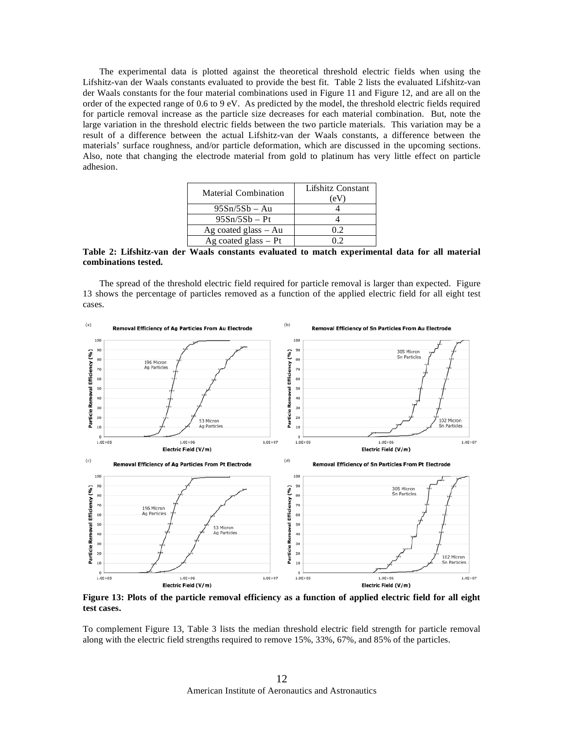The experimental data is plotted against the theoretical threshold electric fields when using the Lifshitz-van der Waals constants evaluated to provide the best fit. Table 2 lists the evaluated Lifshitz-van der Waals constants for the four material combinations used in Figure 11 and Figure 12, and are all on the order of the expected range of 0.6 to 9 eV. As predicted by the model, the threshold electric fields required for particle removal increase as the particle size decreases for each material combination. But, note the large variation in the threshold electric fields between the two particle materials. This variation may be a result of a difference between the actual Lifshitz-van der Waals constants, a difference between the materials' surface roughness, and/or particle deformation, which are discussed in the upcoming sections. Also, note that changing the electrode material from gold to platinum has very little effect on particle adhesion.

| Material Combination     | Lifshitz Constant<br>(eV |
|--------------------------|--------------------------|
| $95Sn/5Sb - Au$          |                          |
| $95Sn/5Sb - Pt$          |                          |
| $Ag$ coated glass $- Au$ | 02                       |
| $Ag$ coated glass $- Pt$ |                          |

**Table 2: Lifshitz-van der Waals constants evaluated to match experimental data for all material combinations tested.** 

 The spread of the threshold electric field required for particle removal is larger than expected. Figure 13 shows the percentage of particles removed as a function of the applied electric field for all eight test cases.



**Figure 13: Plots of the particle removal efficiency as a function of applied electric field for all eight test cases.** 

To complement Figure 13, Table 3 lists the median threshold electric field strength for particle removal along with the electric field strengths required to remove 15%, 33%, 67%, and 85% of the particles.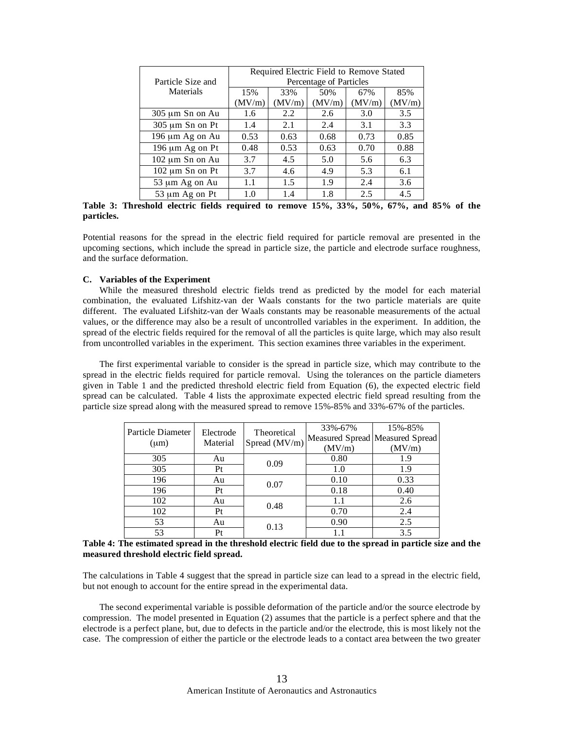|                   | Required Electric Field to Remove Stated |        |        |        |        |  |
|-------------------|------------------------------------------|--------|--------|--------|--------|--|
| Particle Size and | Percentage of Particles                  |        |        |        |        |  |
| <b>Materials</b>  | 15%                                      | 33%    | 50%    | 67%    | 85%    |  |
|                   | (MV/m)                                   | (MV/m) | (MV/m) | (MV/m) | (MV/m) |  |
| 305 µm Sn on Au   | 1.6                                      | 2.2    | 2.6    | 3.0    | 3.5    |  |
| 305 µm Sn on Pt   | 1.4                                      | 2.1    | 2.4    | 3.1    | 3.3    |  |
| 196 µm Ag on Au   | 0.53                                     | 0.63   | 0.68   | 0.73   | 0.85   |  |
| 196 µm Ag on Pt   | 0.48                                     | 0.53   | 0.63   | 0.70   | 0.88   |  |
| 102 µm Sn on Au   | 3.7                                      | 4.5    | 5.0    | 5.6    | 6.3    |  |
| 102 µm Sn on Pt   | 3.7                                      | 4.6    | 4.9    | 5.3    | 6.1    |  |
| 53 µm Ag on Au    | 1.1                                      | 1.5    | 1.9    | 2.4    | 3.6    |  |
| 53 µm Ag on Pt    | 1.0                                      | 1.4    | 1.8    | 2.5    | 4.5    |  |

**Table 3: Threshold electric fields required to remove 15%, 33%, 50%, 67%, and 85% of the particles.** 

Potential reasons for the spread in the electric field required for particle removal are presented in the upcoming sections, which include the spread in particle size, the particle and electrode surface roughness, and the surface deformation.

## **C. Variables of the Experiment**

 While the measured threshold electric fields trend as predicted by the model for each material combination, the evaluated Lifshitz-van der Waals constants for the two particle materials are quite different. The evaluated Lifshitz-van der Waals constants may be reasonable measurements of the actual values, or the difference may also be a result of uncontrolled variables in the experiment. In addition, the spread of the electric fields required for the removal of all the particles is quite large, which may also result from uncontrolled variables in the experiment. This section examines three variables in the experiment.

 The first experimental variable to consider is the spread in particle size, which may contribute to the spread in the electric fields required for particle removal. Using the tolerances on the particle diameters given in Table 1 and the predicted threshold electric field from Equation (6), the expected electric field spread can be calculated. Table 4 lists the approximate expected electric field spread resulting from the particle size spread along with the measured spread to remove 15%-85% and 33%-67% of the particles.

| Particle Diameter<br>$(\mu m)$ | Electrode<br>Material | Theoretical<br>Spread (MV/m) | 33%-67%<br>(MV/m) | 15%-85%<br>Measured Spread Measured Spread<br>(MV/m) |
|--------------------------------|-----------------------|------------------------------|-------------------|------------------------------------------------------|
| 305                            | Au                    | 0.09                         | 0.80              | 1.9                                                  |
| 305                            | Pt                    |                              | 1.0               | 1.9                                                  |
| 196                            | Au                    | 0.07                         | 0.10              | 0.33                                                 |
| 196                            | Pt                    |                              | 0.18              | 0.40                                                 |
| 102                            | Au                    | 0.48                         | 1.1               | 2.6                                                  |
| 102                            | Pt                    |                              | 0.70              | 2.4                                                  |
| 53                             | Au                    | 0.13                         | 0.90              | 2.5                                                  |
| 53                             | Pt                    |                              |                   | 3.5                                                  |

| Table 4: The estimated spread in the threshold electric field due to the spread in particle size and the |  |  |
|----------------------------------------------------------------------------------------------------------|--|--|
| measured threshold electric field spread.                                                                |  |  |

The calculations in Table 4 suggest that the spread in particle size can lead to a spread in the electric field, but not enough to account for the entire spread in the experimental data.

 The second experimental variable is possible deformation of the particle and/or the source electrode by compression. The model presented in Equation (2) assumes that the particle is a perfect sphere and that the electrode is a perfect plane, but, due to defects in the particle and/or the electrode, this is most likely not the case. The compression of either the particle or the electrode leads to a contact area between the two greater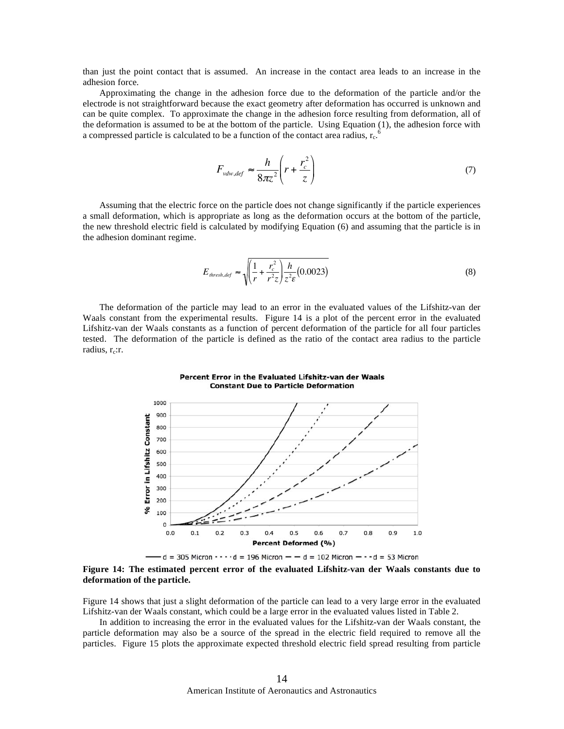than just the point contact that is assumed. An increase in the contact area leads to an increase in the adhesion force.

 Approximating the change in the adhesion force due to the deformation of the particle and/or the electrode is not straightforward because the exact geometry after deformation has occurred is unknown and can be quite complex. To approximate the change in the adhesion force resulting from deformation, all of the deformation is assumed to be at the bottom of the particle. Using Equation (1), the adhesion force with a compressed particle is calculated to be a function of the contact area radius,  $r_c$ .

$$
F_{vdw,def} \approx \frac{h}{8\pi z^2} \left( r + \frac{r_c^2}{z} \right) \tag{7}
$$

 Assuming that the electric force on the particle does not change significantly if the particle experiences a small deformation, which is appropriate as long as the deformation occurs at the bottom of the particle, the new threshold electric field is calculated by modifying Equation (6) and assuming that the particle is in the adhesion dominant regime.

$$
E_{\text{thresh,def}} \approx \sqrt{\left(\frac{1}{r} + \frac{r_c^2}{r^2 z}\right) \frac{h}{z^2 \epsilon} (0.0023)}
$$
(8)

 The deformation of the particle may lead to an error in the evaluated values of the Lifshitz-van der Waals constant from the experimental results. Figure 14 is a plot of the percent error in the evaluated Lifshitz-van der Waals constants as a function of percent deformation of the particle for all four particles tested. The deformation of the particle is defined as the ratio of the contact area radius to the particle radius,  $r_c$ :r.

Percent Error in the Evaluated Lifshitz-van der Waals



**Figure 14: The estimated percent error of the evaluated Lifshitz-van der Waals constants due to deformation of the particle.**

Figure 14 shows that just a slight deformation of the particle can lead to a very large error in the evaluated Lifshitz-van der Waals constant, which could be a large error in the evaluated values listed in Table 2.

 In addition to increasing the error in the evaluated values for the Lifshitz-van der Waals constant, the particle deformation may also be a source of the spread in the electric field required to remove all the particles. Figure 15 plots the approximate expected threshold electric field spread resulting from particle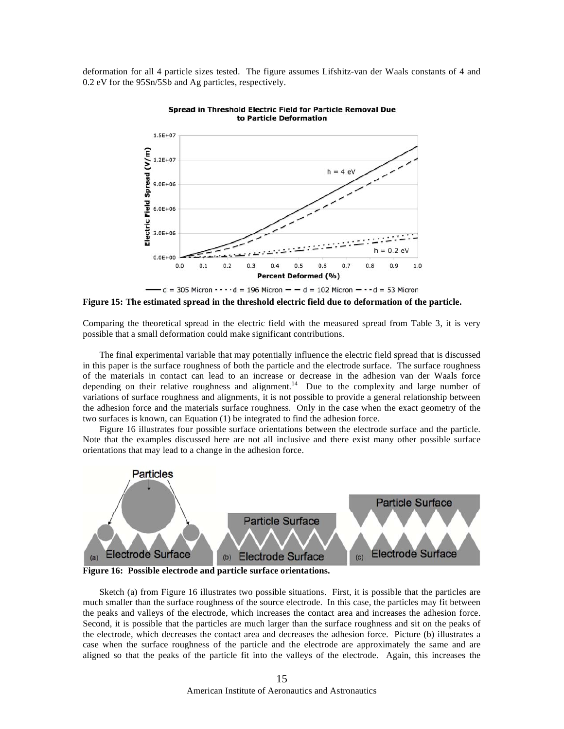deformation for all 4 particle sizes tested. The figure assumes Lifshitz-van der Waals constants of 4 and 0.2 eV for the 95Sn/5Sb and Ag particles, respectively.



Spread in Threshold Electric Field for Particle Removal Due to Particle Deformation

**Figure 15: The estimated spread in the threshold electric field due to deformation of the particle.**

Comparing the theoretical spread in the electric field with the measured spread from Table 3, it is very possible that a small deformation could make significant contributions.

 The final experimental variable that may potentially influence the electric field spread that is discussed in this paper is the surface roughness of both the particle and the electrode surface. The surface roughness of the materials in contact can lead to an increase or decrease in the adhesion van der Waals force depending on their relative roughness and alignment.<sup>14</sup> Due to the complexity and large number of variations of surface roughness and alignments, it is not possible to provide a general relationship between the adhesion force and the materials surface roughness. Only in the case when the exact geometry of the two surfaces is known, can Equation (1) be integrated to find the adhesion force.

 Figure 16 illustrates four possible surface orientations between the electrode surface and the particle. Note that the examples discussed here are not all inclusive and there exist many other possible surface orientations that may lead to a change in the adhesion force.



**Figure 16: Possible electrode and particle surface orientations.**

 Sketch (a) from Figure 16 illustrates two possible situations. First, it is possible that the particles are much smaller than the surface roughness of the source electrode. In this case, the particles may fit between the peaks and valleys of the electrode, which increases the contact area and increases the adhesion force. Second, it is possible that the particles are much larger than the surface roughness and sit on the peaks of the electrode, which decreases the contact area and decreases the adhesion force. Picture (b) illustrates a case when the surface roughness of the particle and the electrode are approximately the same and are aligned so that the peaks of the particle fit into the valleys of the electrode. Again, this increases the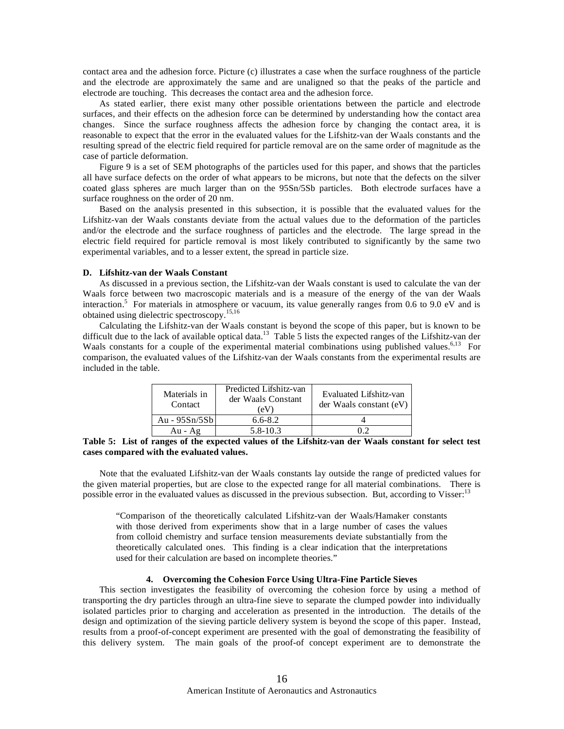contact area and the adhesion force. Picture (c) illustrates a case when the surface roughness of the particle and the electrode are approximately the same and are unaligned so that the peaks of the particle and electrode are touching. This decreases the contact area and the adhesion force.

 As stated earlier, there exist many other possible orientations between the particle and electrode surfaces, and their effects on the adhesion force can be determined by understanding how the contact area changes. Since the surface roughness affects the adhesion force by changing the contact area, it is reasonable to expect that the error in the evaluated values for the Lifshitz-van der Waals constants and the resulting spread of the electric field required for particle removal are on the same order of magnitude as the case of particle deformation.

 Figure 9 is a set of SEM photographs of the particles used for this paper, and shows that the particles all have surface defects on the order of what appears to be microns, but note that the defects on the silver coated glass spheres are much larger than on the 95Sn/5Sb particles. Both electrode surfaces have a surface roughness on the order of 20 nm.

 Based on the analysis presented in this subsection, it is possible that the evaluated values for the Lifshitz-van der Waals constants deviate from the actual values due to the deformation of the particles and/or the electrode and the surface roughness of particles and the electrode. The large spread in the electric field required for particle removal is most likely contributed to significantly by the same two experimental variables, and to a lesser extent, the spread in particle size.

# **D. Lifshitz-van der Waals Constant**

 As discussed in a previous section, the Lifshitz-van der Waals constant is used to calculate the van der Waals force between two macroscopic materials and is a measure of the energy of the van der Waals interaction.<sup>5</sup> For materials in atmosphere or vacuum, its value generally ranges from 0.6 to 9.0 eV and is obtained using dielectric spectroscopy.15,16

 Calculating the Lifshitz-van der Waals constant is beyond the scope of this paper, but is known to be difficult due to the lack of available optical data.<sup>13</sup> Table 5 lists the expected ranges of the Lifshitz-van der Waals constants for a couple of the experimental material combinations using published values.<sup>6,13</sup> For comparison, the evaluated values of the Lifshitz-van der Waals constants from the experimental results are included in the table.

| Materials in<br>Contact | Predicted Lifshitz-van<br>der Waals Constant<br>(eV) | Evaluated Lifshitz-van<br>der Waals constant (eV) |
|-------------------------|------------------------------------------------------|---------------------------------------------------|
| Au - 95Sn/5Sb           | $6.6 - 8.2$                                          |                                                   |
| $Au - Ag$               | 5.8-10.3                                             |                                                   |

**Table 5: List of ranges of the expected values of the Lifshitz-van der Waals constant for select test cases compared with the evaluated values.** 

 Note that the evaluated Lifshitz-van der Waals constants lay outside the range of predicted values for the given material properties, but are close to the expected range for all material combinations. There is possible error in the evaluated values as discussed in the previous subsection. But, according to Visser:<sup>13</sup>

"Comparison of the theoretically calculated Lifshitz-van der Waals/Hamaker constants with those derived from experiments show that in a large number of cases the values from colloid chemistry and surface tension measurements deviate substantially from the theoretically calculated ones. This finding is a clear indication that the interpretations used for their calculation are based on incomplete theories."

## **4. Overcoming the Cohesion Force Using Ultra-Fine Particle Sieves**

 This section investigates the feasibility of overcoming the cohesion force by using a method of transporting the dry particles through an ultra-fine sieve to separate the clumped powder into individually isolated particles prior to charging and acceleration as presented in the introduction. The details of the design and optimization of the sieving particle delivery system is beyond the scope of this paper. Instead, results from a proof-of-concept experiment are presented with the goal of demonstrating the feasibility of this delivery system. The main goals of the proof-of concept experiment are to demonstrate the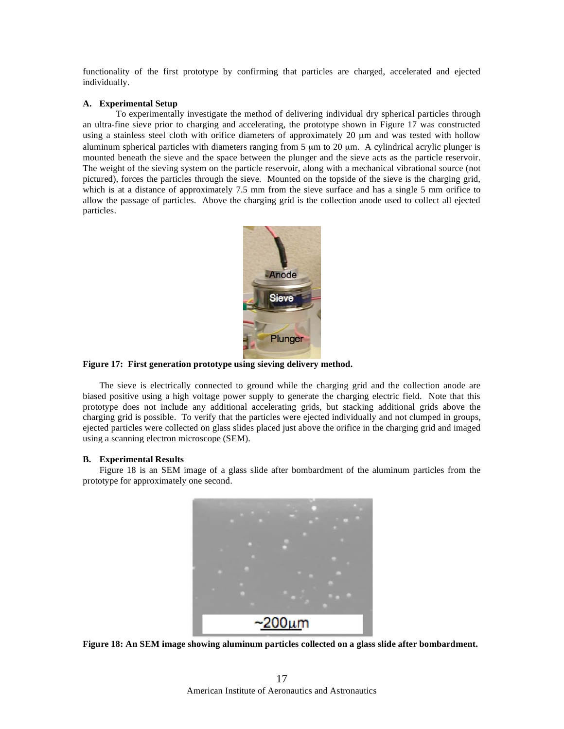functionality of the first prototype by confirming that particles are charged, accelerated and ejected individually.

## **A. Experimental Setup**

 To experimentally investigate the method of delivering individual dry spherical particles through an ultra-fine sieve prior to charging and accelerating, the prototype shown in Figure 17 was constructed using a stainless steel cloth with orifice diameters of approximately 20 μm and was tested with hollow aluminum spherical particles with diameters ranging from 5 μm to 20 μm. A cylindrical acrylic plunger is mounted beneath the sieve and the space between the plunger and the sieve acts as the particle reservoir. The weight of the sieving system on the particle reservoir, along with a mechanical vibrational source (not pictured), forces the particles through the sieve. Mounted on the topside of the sieve is the charging grid, which is at a distance of approximately 7.5 mm from the sieve surface and has a single 5 mm orifice to allow the passage of particles. Above the charging grid is the collection anode used to collect all ejected particles.



# **Figure 17: First generation prototype using sieving delivery method.**

 The sieve is electrically connected to ground while the charging grid and the collection anode are biased positive using a high voltage power supply to generate the charging electric field. Note that this prototype does not include any additional accelerating grids, but stacking additional grids above the charging grid is possible. To verify that the particles were ejected individually and not clumped in groups, ejected particles were collected on glass slides placed just above the orifice in the charging grid and imaged using a scanning electron microscope (SEM).

# **B. Experimental Results**

 Figure 18 is an SEM image of a glass slide after bombardment of the aluminum particles from the prototype for approximately one second.



**Figure 18: An SEM image showing aluminum particles collected on a glass slide after bombardment.**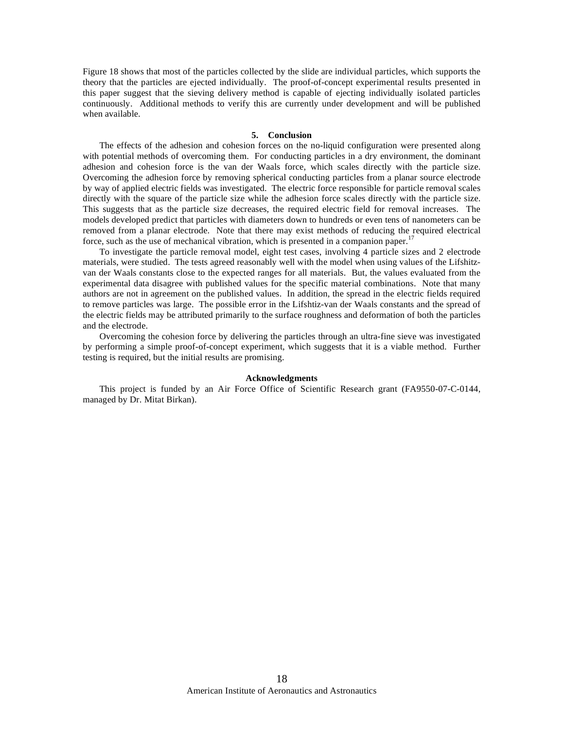Figure 18 shows that most of the particles collected by the slide are individual particles, which supports the theory that the particles are ejected individually. The proof-of-concept experimental results presented in this paper suggest that the sieving delivery method is capable of ejecting individually isolated particles continuously. Additional methods to verify this are currently under development and will be published when available.

#### **5. Conclusion**

 The effects of the adhesion and cohesion forces on the no-liquid configuration were presented along with potential methods of overcoming them. For conducting particles in a dry environment, the dominant adhesion and cohesion force is the van der Waals force, which scales directly with the particle size. Overcoming the adhesion force by removing spherical conducting particles from a planar source electrode by way of applied electric fields was investigated. The electric force responsible for particle removal scales directly with the square of the particle size while the adhesion force scales directly with the particle size. This suggests that as the particle size decreases, the required electric field for removal increases. The models developed predict that particles with diameters down to hundreds or even tens of nanometers can be removed from a planar electrode. Note that there may exist methods of reducing the required electrical force, such as the use of mechanical vibration, which is presented in a companion paper.<sup>17</sup>

 To investigate the particle removal model, eight test cases, involving 4 particle sizes and 2 electrode materials, were studied. The tests agreed reasonably well with the model when using values of the Lifshitzvan der Waals constants close to the expected ranges for all materials. But, the values evaluated from the experimental data disagree with published values for the specific material combinations. Note that many authors are not in agreement on the published values. In addition, the spread in the electric fields required to remove particles was large. The possible error in the Lifshtiz-van der Waals constants and the spread of the electric fields may be attributed primarily to the surface roughness and deformation of both the particles and the electrode.

 Overcoming the cohesion force by delivering the particles through an ultra-fine sieve was investigated by performing a simple proof-of-concept experiment, which suggests that it is a viable method. Further testing is required, but the initial results are promising.

## **Acknowledgments**

 This project is funded by an Air Force Office of Scientific Research grant (FA9550-07-C-0144, managed by Dr. Mitat Birkan).